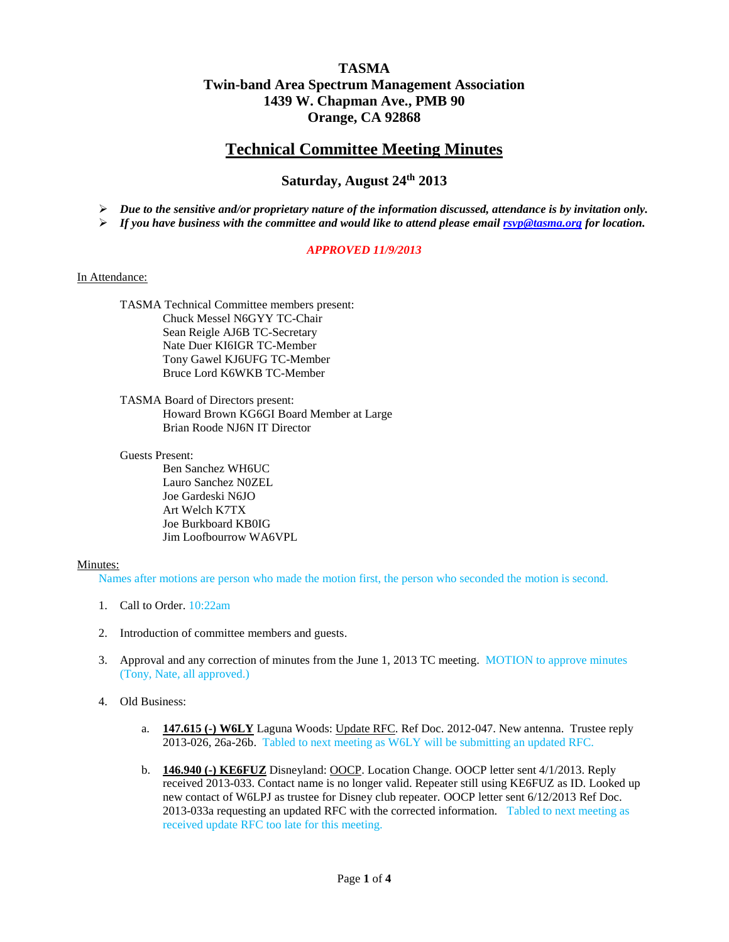# **TASMA Twin-band Area Spectrum Management Association 1439 W. Chapman Ave., PMB 90 Orange, CA 92868**

# **Technical Committee Meeting Minutes**

# **Saturday, August 24 th 2013**

*Due to the sensitive and/or proprietary nature of the information discussed, attendance is by invitation only.*

*If you have business with the committee and would like to attend please emai[l rsvp@tasma.org](mailto:rsvp@tasma.org) for location.*

## *APPROVED 11/9/2013*

#### In Attendance:

TASMA Technical Committee members present: Chuck Messel N6GYY TC-Chair Sean Reigle AJ6B TC-Secretary Nate Duer KI6IGR TC-Member Tony Gawel KJ6UFG TC-Member Bruce Lord K6WKB TC-Member

TASMA Board of Directors present: Howard Brown KG6GI Board Member at Large Brian Roode NJ6N IT Director

#### Guests Present:

Ben Sanchez WH6UC Lauro Sanchez N0ZEL Joe Gardeski N6JO Art Welch K7TX Joe Burkboard KB0IG Jim Loofbourrow WA6VPL

## Minutes:

Names after motions are person who made the motion first, the person who seconded the motion is second.

- 1. Call to Order. 10:22am
- 2. Introduction of committee members and guests.
- 3. Approval and any correction of minutes from the June 1, 2013 TC meeting. MOTION to approve minutes (Tony, Nate, all approved.)
- 4. Old Business:
	- a. **147.615 (-) W6LY** Laguna Woods: Update RFC. Ref Doc. 2012-047. New antenna. Trustee reply 2013-026, 26a-26b. Tabled to next meeting as W6LY will be submitting an updated RFC.
	- b. **146.940 (-) KE6FUZ** Disneyland: OOCP. Location Change. OOCP letter sent 4/1/2013. Reply received 2013-033. Contact name is no longer valid. Repeater still using KE6FUZ as ID. Looked up new contact of W6LPJ as trustee for Disney club repeater. OOCP letter sent 6/12/2013 Ref Doc. 2013-033a requesting an updated RFC with the corrected information. Tabled to next meeting as received update RFC too late for this meeting.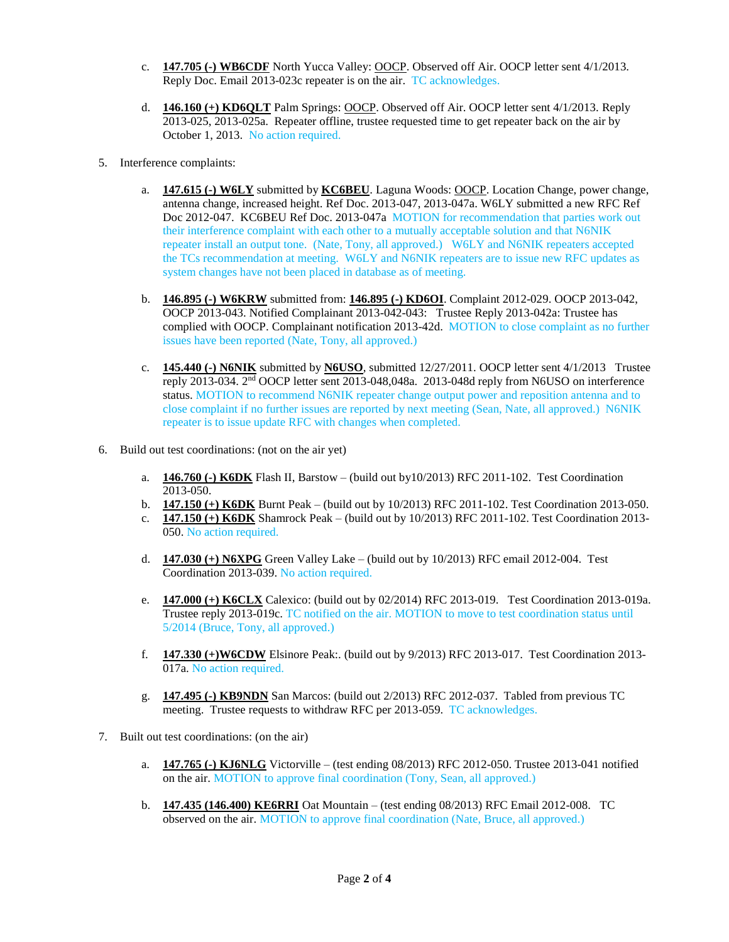- c. **147.705 (-) WB6CDF** North Yucca Valley: OOCP. Observed off Air. OOCP letter sent 4/1/2013. Reply Doc. Email 2013-023c repeater is on the air. TC acknowledges.
- d. **146.160 (+) KD6QLT** Palm Springs: OOCP. Observed off Air. OOCP letter sent 4/1/2013. Reply 2013-025, 2013-025a. Repeater offline, trustee requested time to get repeater back on the air by October 1, 2013. No action required.
- 5. Interference complaints:
	- a. **147.615 (-) W6LY** submitted by **KC6BEU**. Laguna Woods: OOCP. Location Change, power change, antenna change, increased height. Ref Doc. 2013-047, 2013-047a. W6LY submitted a new RFC Ref Doc 2012-047. KC6BEU Ref Doc. 2013-047a MOTION for recommendation that parties work out their interference complaint with each other to a mutually acceptable solution and that N6NIK repeater install an output tone. (Nate, Tony, all approved.) W6LY and N6NIK repeaters accepted the TCs recommendation at meeting. W6LY and N6NIK repeaters are to issue new RFC updates as system changes have not been placed in database as of meeting.
	- b. **146.895 (-) W6KRW** submitted from: **146.895 (-) KD6OI**. Complaint 2012-029. OOCP 2013-042, OOCP 2013-043. Notified Complainant 2013-042-043: Trustee Reply 2013-042a: Trustee has complied with OOCP. Complainant notification 2013-42d. MOTION to close complaint as no further issues have been reported (Nate, Tony, all approved.)
	- c. **145.440 (-) N6NIK** submitted by **N6USO**, submitted 12/27/2011. OOCP letter sent 4/1/2013 Trustee reply 2013-034. 2<sup>nd</sup> OOCP letter sent 2013-048,048a. 2013-048d reply from N6USO on interference status. MOTION to recommend N6NIK repeater change output power and reposition antenna and to close complaint if no further issues are reported by next meeting (Sean, Nate, all approved.) N6NIK repeater is to issue update RFC with changes when completed.
- 6. Build out test coordinations: (not on the air yet)
	- a. **146.760 (-) K6DK** Flash II, Barstow (build out by10/2013) RFC 2011-102. Test Coordination 2013-050.
	- b. **147.150 (+) K6DK** Burnt Peak (build out by 10/2013) RFC 2011-102. Test Coordination 2013-050.
	- c. **147.150 (+) K6DK** Shamrock Peak (build out by 10/2013) RFC 2011-102. Test Coordination 2013- 050. No action required.
	- d. **147.030 (+) N6XPG** Green Valley Lake (build out by 10/2013) RFC email 2012-004. Test Coordination 2013-039. No action required.
	- e. **147.000 (+) K6CLX** Calexico: (build out by 02/2014) RFC 2013-019. Test Coordination 2013-019a. Trustee reply 2013-019c. TC notified on the air. MOTION to move to test coordination status until 5/2014 (Bruce, Tony, all approved.)
	- f. **147.330 (+)W6CDW** Elsinore Peak:. (build out by 9/2013) RFC 2013-017. Test Coordination 2013- 017a. No action required.
	- g. **147.495 (-) KB9NDN** San Marcos: (build out 2/2013) RFC 2012-037. Tabled from previous TC meeting. Trustee requests to withdraw RFC per 2013-059. TC acknowledges.
- 7. Built out test coordinations: (on the air)
	- a. **147.765 (-) KJ6NLG** Victorville (test ending 08/2013) RFC 2012-050. Trustee 2013-041 notified on the air. MOTION to approve final coordination (Tony, Sean, all approved.)
	- b. **147.435 (146.400) KE6RRI** Oat Mountain (test ending 08/2013) RFC Email 2012-008. TC observed on the air. MOTION to approve final coordination (Nate, Bruce, all approved.)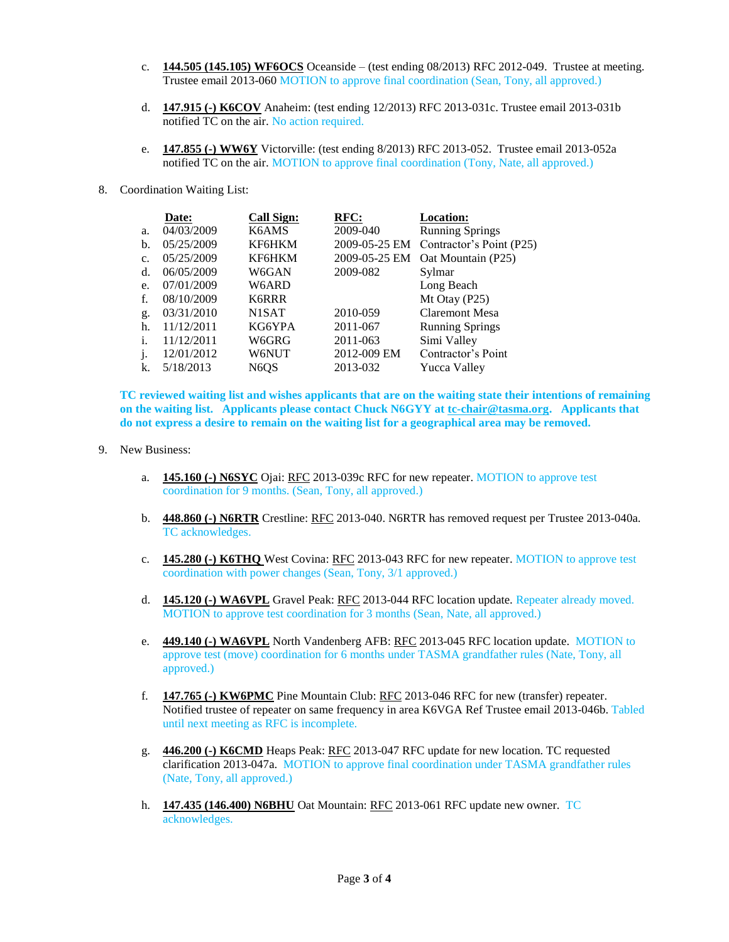- c. **144.505 (145.105) WF6OCS** Oceanside (test ending 08/2013) RFC 2012-049. Trustee at meeting. Trustee email 2013-060 MOTION to approve final coordination (Sean, Tony, all approved.)
- d. **147.915 (-) K6COV** Anaheim: (test ending 12/2013) RFC 2013-031c. Trustee email 2013-031b notified TC on the air. No action required.
- e. **147.855 (-) WW6Y** Victorville: (test ending 8/2013) RFC 2013-052. Trustee email 2013-052a notified TC on the air. MOTION to approve final coordination (Tony, Nate, all approved.)
- 8. Coordination Waiting List:

|              | Date:      | <b>Call Sign:</b> | RFC:          | <b>Location:</b>         |
|--------------|------------|-------------------|---------------|--------------------------|
| a.           | 04/03/2009 | K6AMS             | 2009-040      | <b>Running Springs</b>   |
| b.           | 05/25/2009 | KF6HKM            | 2009-05-25 EM | Contractor's Point (P25) |
| c.           | 05/25/2009 | KF6HKM            | 2009-05-25 EM | Oat Mountain (P25)       |
| d.           | 06/05/2009 | W6GAN             | 2009-082      | Sylmar                   |
| e.           | 07/01/2009 | W6ARD             |               | Long Beach               |
| f.           | 08/10/2009 | <b>K6RRR</b>      |               | Mt Otay (P25)            |
| g.           | 03/31/2010 | N1SAT             | 2010-059      | Claremont Mesa           |
| h.           | 11/12/2011 | KG6YPA            | 2011-067      | <b>Running Springs</b>   |
| i.           | 11/12/2011 | W6GRG             | 2011-063      | Simi Valley              |
| $\mathbf{1}$ | 12/01/2012 | W6NUT             | 2012-009 EM   | Contractor's Point       |
| k.           | 5/18/2013  | N6OS              | 2013-032      | Yucca Valley             |

**TC reviewed waiting list and wishes applicants that are on the waiting state their intentions of remaining on the waiting list. Applicants please contact Chuck N6GYY at [tc-chair@tasma.org.](mailto:tc-chair@tasma.org) Applicants that do not express a desire to remain on the waiting list for a geographical area may be removed.**

- 9. New Business:
	- a. **145.160 (-) N6SYC** Ojai: RFC 2013-039c RFC for new repeater. MOTION to approve test coordination for 9 months. (Sean, Tony, all approved.)
	- b. **448.860 (-) N6RTR** Crestline: RFC 2013-040. N6RTR has removed request per Trustee 2013-040a. TC acknowledges.
	- c. **145.280 (-) K6THQ** West Covina: RFC 2013-043 RFC for new repeater. MOTION to approve test coordination with power changes (Sean, Tony, 3/1 approved.)
	- d. **145.120 (-) WA6VPL** Gravel Peak: RFC 2013-044 RFC location update. Repeater already moved. MOTION to approve test coordination for 3 months (Sean, Nate, all approved.)
	- e. **449.140 (-) WA6VPL** North Vandenberg AFB: RFC 2013-045 RFC location update. MOTION to approve test (move) coordination for 6 months under TASMA grandfather rules (Nate, Tony, all approved.)
	- f. **147.765 (-) KW6PMC** Pine Mountain Club: RFC 2013-046 RFC for new (transfer) repeater. Notified trustee of repeater on same frequency in area K6VGA Ref Trustee email 2013-046b. Tabled until next meeting as RFC is incomplete.
	- g. **446.200 (-) K6CMD** Heaps Peak: RFC 2013-047 RFC update for new location. TC requested clarification 2013-047a. MOTION to approve final coordination under TASMA grandfather rules (Nate, Tony, all approved.)
	- h. **147.435 (146.400) N6BHU** Oat Mountain: RFC 2013-061 RFC update new owner. TC acknowledges.